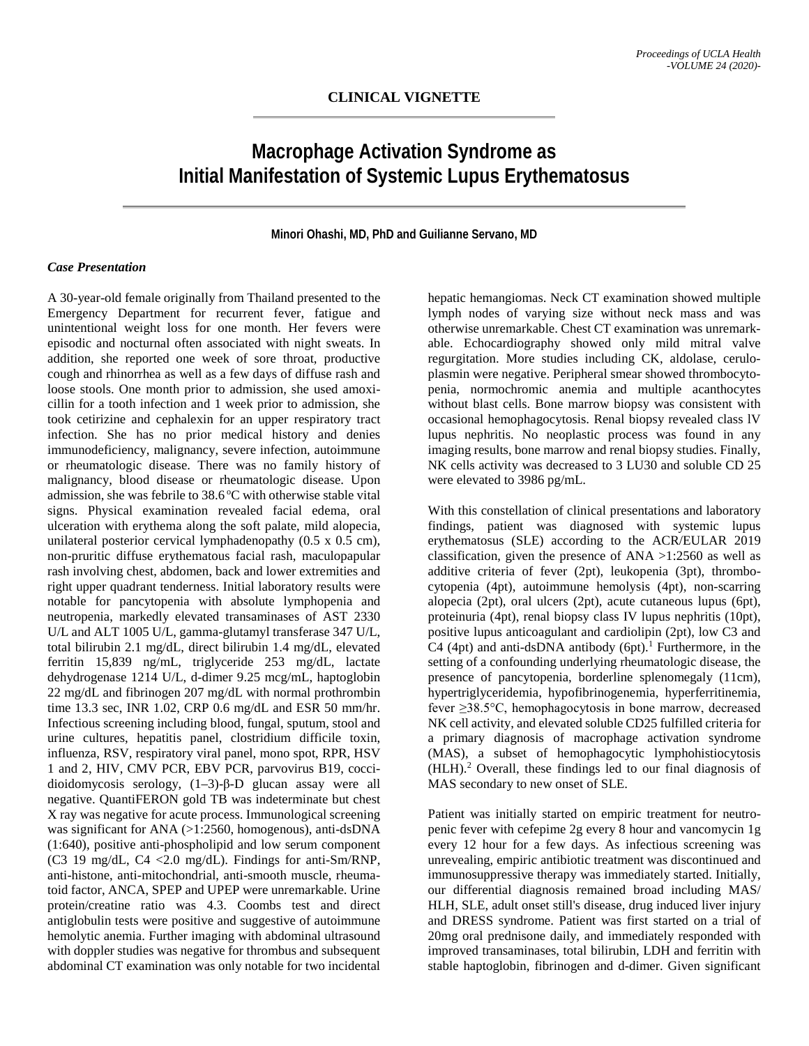# **Macrophage Activation Syndrome as Initial Manifestation of Systemic Lupus Erythematosus**

#### **Minori Ohashi, MD, PhD and Guilianne Servano, MD**

#### *Case Presentation*

A 30-year-old female originally from Thailand presented to the Emergency Department for recurrent fever, fatigue and unintentional weight loss for one month. Her fevers were episodic and nocturnal often associated with night sweats. In addition, she reported one week of sore throat, productive cough and rhinorrhea as well as a few days of diffuse rash and loose stools. One month prior to admission, she used amoxicillin for a tooth infection and 1 week prior to admission, she took cetirizine and cephalexin for an upper respiratory tract infection. She has no prior medical history and denies immunodeficiency, malignancy, severe infection, autoimmune or rheumatologic disease. There was no family history of malignancy, blood disease or rheumatologic disease. Upon admission, she was febrile to 38.6 °C with otherwise stable vital signs. Physical examination revealed facial edema, oral ulceration with erythema along the soft palate, mild alopecia, unilateral posterior cervical lymphadenopathy (0.5 x 0.5 cm), non-pruritic diffuse erythematous facial rash, maculopapular rash involving chest, abdomen, back and lower extremities and right upper quadrant tenderness. Initial laboratory results were notable for pancytopenia with absolute lymphopenia and neutropenia, markedly elevated transaminases of AST 2330 U/L and ALT 1005 U/L, gamma-glutamyl transferase 347 U/L, total bilirubin 2.1 mg/dL, direct bilirubin 1.4 mg/dL, elevated ferritin 15,839 ng/mL, triglyceride 253 mg/dL, lactate dehydrogenase 1214 U/L, d-dimer 9.25 mcg/mL, haptoglobin 22 mg/dL and fibrinogen 207 mg/dL with normal prothrombin time 13.3 sec, INR 1.02, CRP 0.6 mg/dL and ESR 50 mm/hr. Infectious screening including blood, fungal, sputum, stool and urine cultures, hepatitis panel, clostridium difficile toxin, influenza, RSV, respiratory viral panel, mono spot, RPR, HSV 1 and 2, HIV, CMV PCR, EBV PCR, parvovirus B19, coccidioidomycosis serology, (1–3)-β-D glucan assay were all negative. QuantiFERON gold TB was indeterminate but chest X ray was negative for acute process. Immunological screening was significant for ANA (>1:2560, homogenous), anti-dsDNA (1:640), positive anti-phospholipid and low serum component (C3 19 mg/dL, C4 <2.0 mg/dL). Findings for anti-Sm/RNP, anti-histone, anti-mitochondrial, anti-smooth muscle, rheumatoid factor, ANCA, SPEP and UPEP were unremarkable. Urine protein/creatine ratio was 4.3. Coombs test and direct antiglobulin tests were positive and suggestive of autoimmune hemolytic anemia. Further imaging with abdominal ultrasound with doppler studies was negative for thrombus and subsequent abdominal CT examination was only notable for two incidental

hepatic hemangiomas. Neck CT examination showed multiple lymph nodes of varying size without neck mass and was otherwise unremarkable. Chest CT examination was unremarkable. Echocardiography showed only mild mitral valve regurgitation. More studies including CK, aldolase, ceruloplasmin were negative. Peripheral smear showed thrombocytopenia, normochromic anemia and multiple acanthocytes without blast cells. Bone marrow biopsy was consistent with occasional hemophagocytosis. Renal biopsy revealed class lV lupus nephritis. No neoplastic process was found in any imaging results, bone marrow and renal biopsy studies. Finally, NK cells activity was decreased to 3 LU30 and soluble CD 25 were elevated to 3986 pg/mL.

With this constellation of clinical presentations and laboratory findings, patient was diagnosed with systemic lupus erythematosus (SLE) according to the ACR/EULAR 2019 classification, given the presence of  $ANA > 1:2560$  as well as additive criteria of fever (2pt), leukopenia (3pt), thrombocytopenia (4pt), autoimmune hemolysis (4pt), non-scarring alopecia (2pt), oral ulcers (2pt), acute cutaneous lupus (6pt), proteinuria (4pt), renal biopsy class IV lupus nephritis (10pt), positive lupus anticoagulant and cardiolipin (2pt), low C3 and  $C4$  (4pt) and anti-dsDNA antibody (6pt).<sup>1</sup> Furthermore, in the setting of a confounding underlying rheumatologic disease, the presence of pancytopenia, borderline splenomegaly (11cm), hypertriglyceridemia, hypofibrinogenemia, hyperferritinemia, fever ≥38.5°C, hemophagocytosis in bone marrow, decreased NK cell activity, and elevated soluble CD25 fulfilled criteria for a primary diagnosis of macrophage activation syndrome (MAS), a subset of hemophagocytic lymphohistiocytosis  $(HLH)<sup>2</sup>$  Overall, these findings led to our final diagnosis of MAS secondary to new onset of SLE.

Patient was initially started on empiric treatment for neutropenic fever with cefepime 2g every 8 hour and vancomycin 1g every 12 hour for a few days. As infectious screening was unrevealing, empiric antibiotic treatment was discontinued and immunosuppressive therapy was immediately started. Initially, our differential diagnosis remained broad including MAS/ HLH, SLE, adult onset still's disease, drug induced liver injury and DRESS syndrome. Patient was first started on a trial of 20mg oral prednisone daily, and immediately responded with improved transaminases, total bilirubin, LDH and ferritin with stable haptoglobin, fibrinogen and d-dimer. Given significant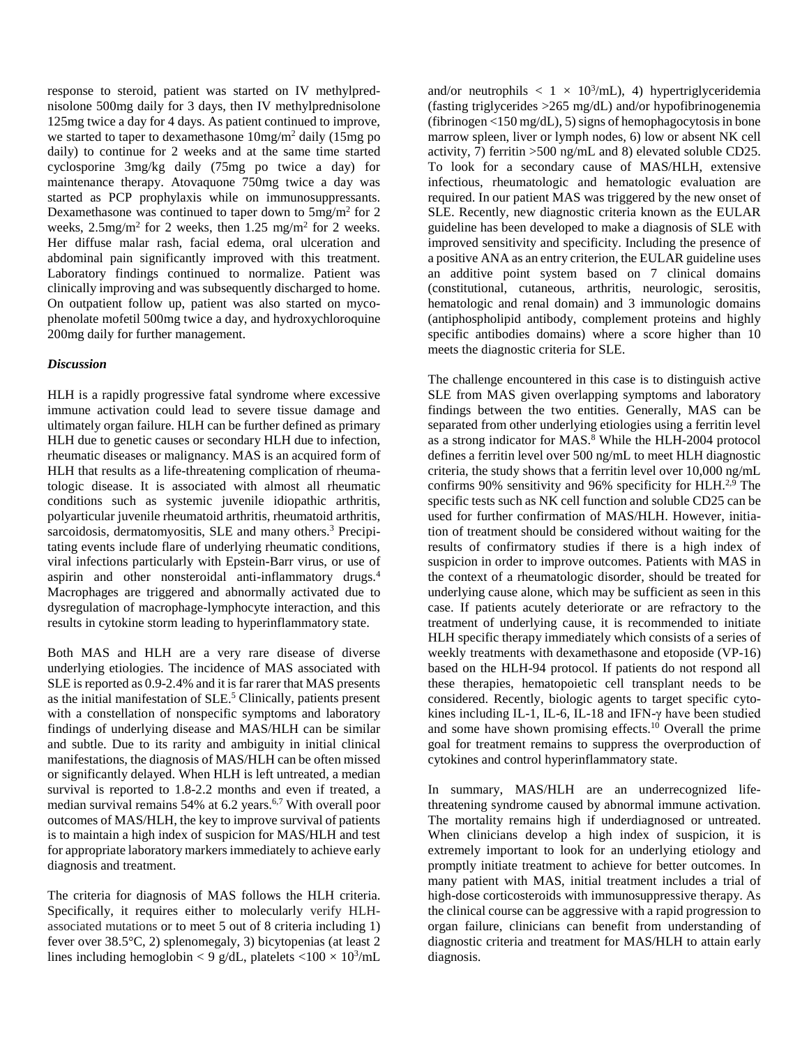response to steroid, patient was started on IV methylprednisolone 500mg daily for 3 days, then IV methylprednisolone 125mg twice a day for 4 days. As patient continued to improve, we started to taper to dexamethasone  $10mg/m^2$  daily (15mg po daily) to continue for 2 weeks and at the same time started cyclosporine 3mg/kg daily (75mg po twice a day) for maintenance therapy. Atovaquone 750mg twice a day was started as PCP prophylaxis while on immunosuppressants. Dexamethasone was continued to taper down to 5mg/m2 for 2 weeks, 2.5mg/m2 for 2 weeks, then 1.25 mg/m2 for 2 weeks. Her diffuse malar rash, facial edema, oral ulceration and abdominal pain significantly improved with this treatment. Laboratory findings continued to normalize. Patient was clinically improving and was subsequently discharged to home. On outpatient follow up, patient was also started on mycophenolate mofetil 500mg twice a day, and hydroxychloroquine 200mg daily for further management.

## *Discussion*

HLH is a rapidly progressive fatal syndrome where excessive immune activation could lead to severe tissue damage and ultimately organ failure. HLH can be further defined as primary HLH due to genetic causes or secondary HLH due to infection, rheumatic diseases or malignancy. MAS is an acquired form of HLH that results as a life-threatening complication of rheumatologic disease. It is associated with almost all rheumatic conditions such as systemic juvenile idiopathic arthritis, polyarticular juvenile rheumatoid arthritis, rheumatoid arthritis, sarcoidosis, dermatomyositis, SLE and many others.<sup>3</sup> Precipitating events include flare of underlying rheumatic conditions, viral infections particularly with Epstein-Barr virus, or use of aspirin and other nonsteroidal anti-inflammatory drugs.4 Macrophages are triggered and abnormally activated due to dysregulation of macrophage-lymphocyte interaction, and this results in cytokine storm leading to hyperinflammatory state.

Both MAS and HLH are a very rare disease of diverse underlying etiologies. The incidence of MAS associated with SLE is reported as 0.9-2.4% and it is far rarer that MAS presents as the initial manifestation of SLE.<sup>5</sup> Clinically, patients present with a constellation of nonspecific symptoms and laboratory findings of underlying disease and MAS/HLH can be similar and subtle. Due to its rarity and ambiguity in initial clinical manifestations, the diagnosis of MAS/HLH can be often missed or significantly delayed. When HLH is left untreated, a median survival is reported to 1.8-2.2 months and even if treated, a median survival remains  $54\%$  at 6.2 years.<sup>6,7</sup> With overall poor outcomes of MAS/HLH, the key to improve survival of patients is to maintain a high index of suspicion for MAS/HLH and test for appropriate laboratory markers immediately to achieve early diagnosis and treatment.

The criteria for diagnosis of MAS follows the HLH criteria. Specifically, it requires either to molecularly verify HLHassociated mutations or to meet 5 out of 8 criteria including 1) fever over 38.5°C, 2) splenomegaly, 3) bicytopenias (at least 2 lines including hemoglobin < 9 g/dL, platelets < $100 \times 10^3$ /mL

and/or neutrophils  $\langle 1 \times 10^3 \rangle$ mL), 4) hypertriglyceridemia (fasting triglycerides >265 mg/dL) and/or hypofibrinogenemia (fibrinogen <150 mg/dL), 5) signs of hemophagocytosis in bone marrow spleen, liver or lymph nodes, 6) low or absent NK cell activity, 7) ferritin >500 ng/mL and 8) elevated soluble CD25. To look for a secondary cause of MAS/HLH, extensive infectious, rheumatologic and hematologic evaluation are required. In our patient MAS was triggered by the new onset of SLE. Recently, new diagnostic criteria known as the EULAR guideline has been developed to make a diagnosis of SLE with improved sensitivity and specificity. Including the presence of a positive ANA as an entry criterion, the EULAR guideline uses an additive point system based on 7 clinical domains (constitutional, cutaneous, arthritis, neurologic, serositis, hematologic and renal domain) and 3 immunologic domains (antiphospholipid antibody, complement proteins and highly specific antibodies domains) where a score higher than 10 meets the diagnostic criteria for SLE.

The challenge encountered in this case is to distinguish active SLE from MAS given overlapping symptoms and laboratory findings between the two entities. Generally, MAS can be separated from other underlying etiologies using a ferritin level as a strong indicator for MAS.<sup>8</sup> While the HLH-2004 protocol defines a ferritin level over 500 ng/mL to meet HLH diagnostic criteria, the study shows that a ferritin level over 10,000 ng/mL confirms 90% sensitivity and 96% specificity for  $H L H^{2,9}$ . The specific tests such as NK cell function and soluble CD25 can be used for further confirmation of MAS/HLH. However, initiation of treatment should be considered without waiting for the results of confirmatory studies if there is a high index of suspicion in order to improve outcomes. Patients with MAS in the context of a rheumatologic disorder, should be treated for underlying cause alone, which may be sufficient as seen in this case. If patients acutely deteriorate or are refractory to the treatment of underlying cause, it is recommended to initiate HLH specific therapy immediately which consists of a series of weekly treatments with dexamethasone and etoposide (VP-16) based on the HLH-94 protocol. If patients do not respond all these therapies, hematopoietic cell transplant needs to be considered. Recently, biologic agents to target specific cytokines including IL-1, IL-6, IL-18 and IFN-γ have been studied and some have shown promising effects.10 Overall the prime goal for treatment remains to suppress the overproduction of cytokines and control hyperinflammatory state.

In summary, MAS/HLH are an underrecognized lifethreatening syndrome caused by abnormal immune activation. The mortality remains high if underdiagnosed or untreated. When clinicians develop a high index of suspicion, it is extremely important to look for an underlying etiology and promptly initiate treatment to achieve for better outcomes. In many patient with MAS, initial treatment includes a trial of high-dose corticosteroids with immunosuppressive therapy. As the clinical course can be aggressive with a rapid progression to organ failure, clinicians can benefit from understanding of diagnostic criteria and treatment for MAS/HLH to attain early diagnosis.